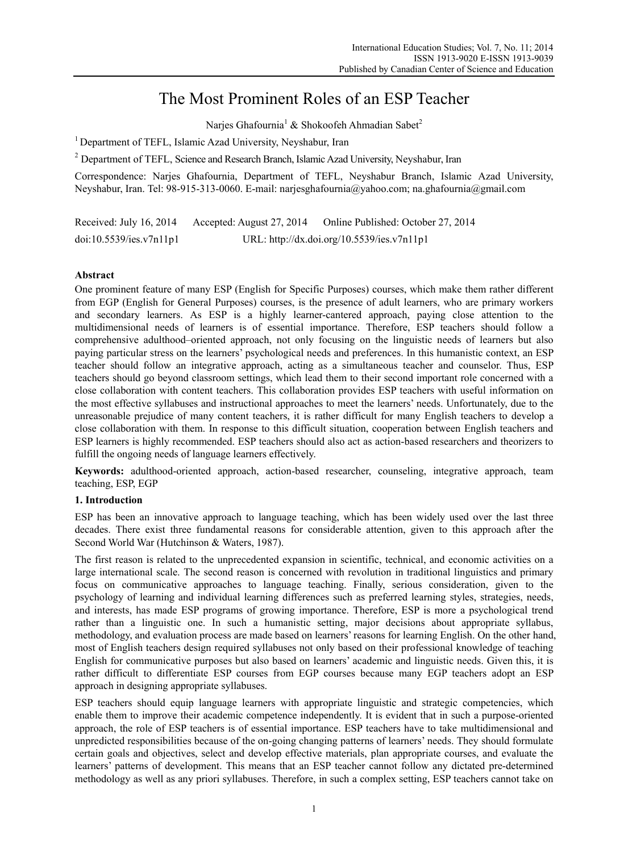# The Most Prominent Roles of an ESP Teacher

Narjes Ghafournia<sup>1</sup> & Shokoofeh Ahmadian Sabet<sup>2</sup>

<sup>1</sup> Department of TEFL, Islamic Azad University, Neyshabur, Iran

<sup>2</sup> Department of TEFL, Science and Research Branch, Islamic Azad University, Neyshabur, Iran

Correspondence: Narjes Ghafournia, Department of TEFL, Neyshabur Branch, Islamic Azad University, Neyshabur, Iran. Tel: 98-915-313-0060. E-mail: narjesghafournia@yahoo.com; na.ghafournia@gmail.com

Received: July 16, 2014 Accepted: August 27, 2014 Online Published: October 27, 2014 doi:10.5539/ies.v7n11p1 URL: http://dx.doi.org/10.5539/ies.v7n11p1

# **Abstract**

One prominent feature of many ESP (English for Specific Purposes) courses, which make them rather different from EGP (English for General Purposes) courses, is the presence of adult learners, who are primary workers and secondary learners. As ESP is a highly learner-cantered approach, paying close attention to the multidimensional needs of learners is of essential importance. Therefore, ESP teachers should follow a comprehensive adulthood–oriented approach, not only focusing on the linguistic needs of learners but also paying particular stress on the learners' psychological needs and preferences. In this humanistic context, an ESP teacher should follow an integrative approach, acting as a simultaneous teacher and counselor. Thus, ESP teachers should go beyond classroom settings, which lead them to their second important role concerned with a close collaboration with content teachers. This collaboration provides ESP teachers with useful information on the most effective syllabuses and instructional approaches to meet the learners' needs. Unfortunately, due to the unreasonable prejudice of many content teachers, it is rather difficult for many English teachers to develop a close collaboration with them. In response to this difficult situation, cooperation between English teachers and ESP learners is highly recommended. ESP teachers should also act as action-based researchers and theorizers to fulfill the ongoing needs of language learners effectively.

**Keywords:** adulthood-oriented approach, action-based researcher, counseling, integrative approach, team teaching, ESP, EGP

### **1. Introduction**

ESP has been an innovative approach to language teaching, which has been widely used over the last three decades. There exist three fundamental reasons for considerable attention, given to this approach after the Second World War (Hutchinson & Waters, 1987).

The first reason is related to the unprecedented expansion in scientific, technical, and economic activities on a large international scale. The second reason is concerned with revolution in traditional linguistics and primary focus on communicative approaches to language teaching. Finally, serious consideration, given to the psychology of learning and individual learning differences such as preferred learning styles, strategies, needs, and interests, has made ESP programs of growing importance. Therefore, ESP is more a psychological trend rather than a linguistic one. In such a humanistic setting, major decisions about appropriate syllabus, methodology, and evaluation process are made based on learners' reasons for learning English. On the other hand, most of English teachers design required syllabuses not only based on their professional knowledge of teaching English for communicative purposes but also based on learners' academic and linguistic needs. Given this, it is rather difficult to differentiate ESP courses from EGP courses because many EGP teachers adopt an ESP approach in designing appropriate syllabuses.

ESP teachers should equip language learners with appropriate linguistic and strategic competencies, which enable them to improve their academic competence independently. It is evident that in such a purpose-oriented approach, the role of ESP teachers is of essential importance. ESP teachers have to take multidimensional and unpredicted responsibilities because of the on-going changing patterns of learners' needs. They should formulate certain goals and objectives, select and develop effective materials, plan appropriate courses, and evaluate the learners' patterns of development. This means that an ESP teacher cannot follow any dictated pre-determined methodology as well as any priori syllabuses. Therefore, in such a complex setting, ESP teachers cannot take on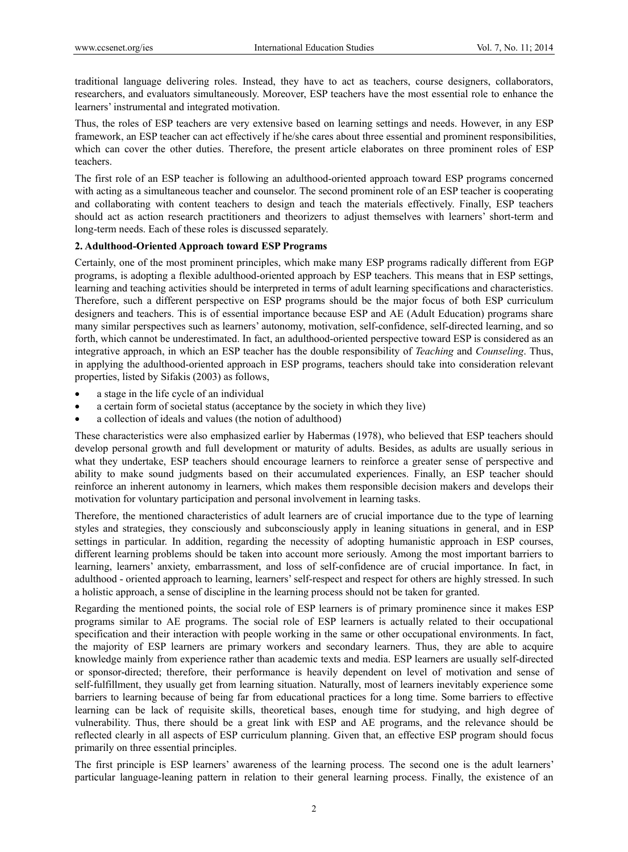traditional language delivering roles. Instead, they have to act as teachers, course designers, collaborators, researchers, and evaluators simultaneously. Moreover, ESP teachers have the most essential role to enhance the learners' instrumental and integrated motivation.

Thus, the roles of ESP teachers are very extensive based on learning settings and needs. However, in any ESP framework, an ESP teacher can act effectively if he/she cares about three essential and prominent responsibilities, which can cover the other duties. Therefore, the present article elaborates on three prominent roles of ESP teachers.

The first role of an ESP teacher is following an adulthood-oriented approach toward ESP programs concerned with acting as a simultaneous teacher and counselor. The second prominent role of an ESP teacher is cooperating and collaborating with content teachers to design and teach the materials effectively. Finally, ESP teachers should act as action research practitioners and theorizers to adjust themselves with learners' short-term and long-term needs. Each of these roles is discussed separately.

### **2. Adulthood-Oriented Approach toward ESP Programs**

Certainly, one of the most prominent principles, which make many ESP programs radically different from EGP programs, is adopting a flexible adulthood-oriented approach by ESP teachers. This means that in ESP settings, learning and teaching activities should be interpreted in terms of adult learning specifications and characteristics. Therefore, such a different perspective on ESP programs should be the major focus of both ESP curriculum designers and teachers. This is of essential importance because ESP and AE (Adult Education) programs share many similar perspectives such as learners' autonomy, motivation, self-confidence, self-directed learning, and so forth, which cannot be underestimated. In fact, an adulthood-oriented perspective toward ESP is considered as an integrative approach, in which an ESP teacher has the double responsibility of *Teaching* and *Counseling*. Thus, in applying the adulthood-oriented approach in ESP programs, teachers should take into consideration relevant properties, listed by Sifakis (2003) as follows,

- a stage in the life cycle of an individual
- a certain form of societal status (acceptance by the society in which they live)
- a collection of ideals and values (the notion of adulthood)

These characteristics were also emphasized earlier by Habermas (1978), who believed that ESP teachers should develop personal growth and full development or maturity of adults. Besides, as adults are usually serious in what they undertake, ESP teachers should encourage learners to reinforce a greater sense of perspective and ability to make sound judgments based on their accumulated experiences. Finally, an ESP teacher should reinforce an inherent autonomy in learners, which makes them responsible decision makers and develops their motivation for voluntary participation and personal involvement in learning tasks.

Therefore, the mentioned characteristics of adult learners are of crucial importance due to the type of learning styles and strategies, they consciously and subconsciously apply in leaning situations in general, and in ESP settings in particular. In addition, regarding the necessity of adopting humanistic approach in ESP courses, different learning problems should be taken into account more seriously. Among the most important barriers to learning, learners' anxiety, embarrassment, and loss of self-confidence are of crucial importance. In fact, in adulthood - oriented approach to learning, learners' self-respect and respect for others are highly stressed. In such a holistic approach, a sense of discipline in the learning process should not be taken for granted.

Regarding the mentioned points, the social role of ESP learners is of primary prominence since it makes ESP programs similar to AE programs. The social role of ESP learners is actually related to their occupational specification and their interaction with people working in the same or other occupational environments. In fact, the majority of ESP learners are primary workers and secondary learners. Thus, they are able to acquire knowledge mainly from experience rather than academic texts and media. ESP learners are usually self-directed or sponsor-directed; therefore, their performance is heavily dependent on level of motivation and sense of self-fulfillment, they usually get from learning situation. Naturally, most of learners inevitably experience some barriers to learning because of being far from educational practices for a long time. Some barriers to effective learning can be lack of requisite skills, theoretical bases, enough time for studying, and high degree of vulnerability. Thus, there should be a great link with ESP and AE programs, and the relevance should be reflected clearly in all aspects of ESP curriculum planning. Given that, an effective ESP program should focus primarily on three essential principles.

The first principle is ESP learners' awareness of the learning process. The second one is the adult learners' particular language-leaning pattern in relation to their general learning process. Finally, the existence of an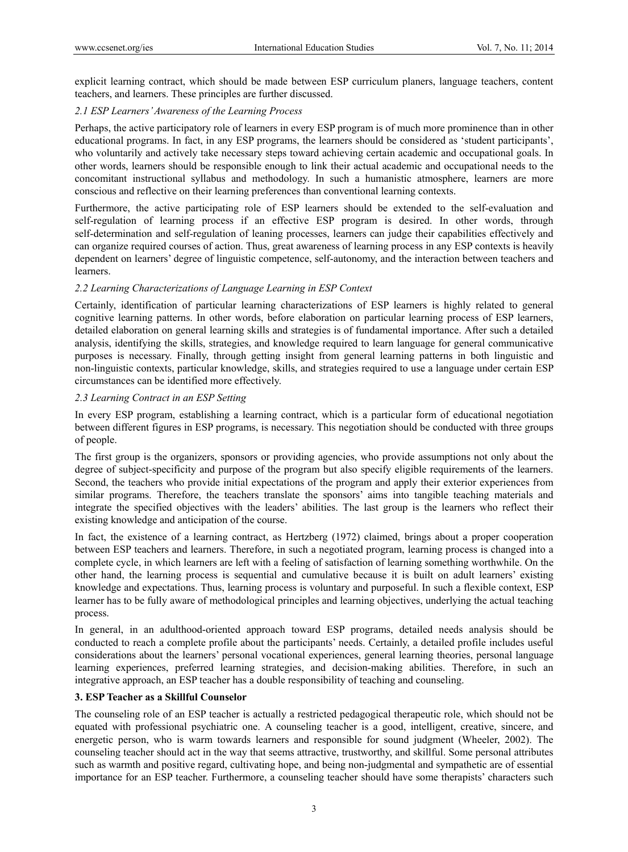explicit learning contract, which should be made between ESP curriculum planers, language teachers, content teachers, and learners. These principles are further discussed.

# *2.1 ESP Learners' Awareness of the Learning Process*

Perhaps, the active participatory role of learners in every ESP program is of much more prominence than in other educational programs. In fact, in any ESP programs, the learners should be considered as 'student participants', who voluntarily and actively take necessary steps toward achieving certain academic and occupational goals. In other words, learners should be responsible enough to link their actual academic and occupational needs to the concomitant instructional syllabus and methodology. In such a humanistic atmosphere, learners are more conscious and reflective on their learning preferences than conventional learning contexts.

Furthermore, the active participating role of ESP learners should be extended to the self-evaluation and self-regulation of learning process if an effective ESP program is desired. In other words, through self-determination and self-regulation of leaning processes, learners can judge their capabilities effectively and can organize required courses of action. Thus, great awareness of learning process in any ESP contexts is heavily dependent on learners' degree of linguistic competence, self-autonomy, and the interaction between teachers and learners.

# *2.2 Learning Characterizations of Language Learning in ESP Context*

Certainly, identification of particular learning characterizations of ESP learners is highly related to general cognitive learning patterns. In other words, before elaboration on particular learning process of ESP learners, detailed elaboration on general learning skills and strategies is of fundamental importance. After such a detailed analysis, identifying the skills, strategies, and knowledge required to learn language for general communicative purposes is necessary. Finally, through getting insight from general learning patterns in both linguistic and non-linguistic contexts, particular knowledge, skills, and strategies required to use a language under certain ESP circumstances can be identified more effectively.

# *2.3 Learning Contract in an ESP Setting*

In every ESP program, establishing a learning contract, which is a particular form of educational negotiation between different figures in ESP programs, is necessary. This negotiation should be conducted with three groups of people.

The first group is the organizers, sponsors or providing agencies, who provide assumptions not only about the degree of subject-specificity and purpose of the program but also specify eligible requirements of the learners. Second, the teachers who provide initial expectations of the program and apply their exterior experiences from similar programs. Therefore, the teachers translate the sponsors' aims into tangible teaching materials and integrate the specified objectives with the leaders' abilities. The last group is the learners who reflect their existing knowledge and anticipation of the course.

In fact, the existence of a learning contract, as Hertzberg (1972) claimed, brings about a proper cooperation between ESP teachers and learners. Therefore, in such a negotiated program, learning process is changed into a complete cycle, in which learners are left with a feeling of satisfaction of learning something worthwhile. On the other hand, the learning process is sequential and cumulative because it is built on adult learners' existing knowledge and expectations. Thus, learning process is voluntary and purposeful. In such a flexible context, ESP learner has to be fully aware of methodological principles and learning objectives, underlying the actual teaching process.

In general, in an adulthood-oriented approach toward ESP programs, detailed needs analysis should be conducted to reach a complete profile about the participants' needs. Certainly, a detailed profile includes useful considerations about the learners' personal vocational experiences, general learning theories, personal language learning experiences, preferred learning strategies, and decision-making abilities. Therefore, in such an integrative approach, an ESP teacher has a double responsibility of teaching and counseling.

## **3. ESP Teacher as a Skillful Counselor**

The counseling role of an ESP teacher is actually a restricted pedagogical therapeutic role, which should not be equated with professional psychiatric one. A counseling teacher is a good, intelligent, creative, sincere, and energetic person, who is warm towards learners and responsible for sound judgment (Wheeler, 2002). The counseling teacher should act in the way that seems attractive, trustworthy, and skillful. Some personal attributes such as warmth and positive regard, cultivating hope, and being non-judgmental and sympathetic are of essential importance for an ESP teacher. Furthermore, a counseling teacher should have some therapists' characters such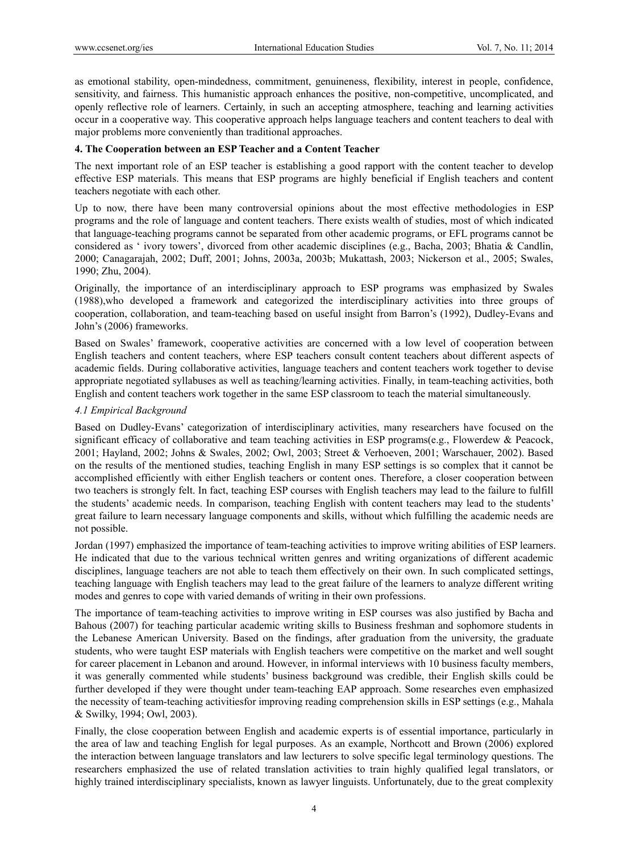as emotional stability, open-mindedness, commitment, genuineness, flexibility, interest in people, confidence, sensitivity, and fairness. This humanistic approach enhances the positive, non-competitive, uncomplicated, and openly reflective role of learners. Certainly, in such an accepting atmosphere, teaching and learning activities occur in a cooperative way. This cooperative approach helps language teachers and content teachers to deal with major problems more conveniently than traditional approaches.

# **4. The Cooperation between an ESP Teacher and a Content Teacher**

The next important role of an ESP teacher is establishing a good rapport with the content teacher to develop effective ESP materials. This means that ESP programs are highly beneficial if English teachers and content teachers negotiate with each other.

Up to now, there have been many controversial opinions about the most effective methodologies in ESP programs and the role of language and content teachers. There exists wealth of studies, most of which indicated that language-teaching programs cannot be separated from other academic programs, or EFL programs cannot be considered as ' ivory towers', divorced from other academic disciplines (e.g., Bacha, 2003; Bhatia & Candlin, 2000; Canagarajah, 2002; Duff, 2001; Johns, 2003a, 2003b; Mukattash, 2003; Nickerson et al., 2005; Swales, 1990; Zhu, 2004).

Originally, the importance of an interdisciplinary approach to ESP programs was emphasized by Swales (1988),who developed a framework and categorized the interdisciplinary activities into three groups of cooperation, collaboration, and team-teaching based on useful insight from Barron's (1992), Dudley-Evans and John's (2006) frameworks.

Based on Swales' framework, cooperative activities are concerned with a low level of cooperation between English teachers and content teachers, where ESP teachers consult content teachers about different aspects of academic fields. During collaborative activities, language teachers and content teachers work together to devise appropriate negotiated syllabuses as well as teaching/learning activities. Finally, in team-teaching activities, both English and content teachers work together in the same ESP classroom to teach the material simultaneously.

# *4.1 Empirical Background*

Based on Dudley-Evans' categorization of interdisciplinary activities, many researchers have focused on the significant efficacy of collaborative and team teaching activities in ESP programs(e.g., Flowerdew & Peacock, 2001; Hayland, 2002; Johns & Swales, 2002; Owl, 2003; Street & Verhoeven, 2001; Warschauer, 2002). Based on the results of the mentioned studies, teaching English in many ESP settings is so complex that it cannot be accomplished efficiently with either English teachers or content ones. Therefore, a closer cooperation between two teachers is strongly felt. In fact, teaching ESP courses with English teachers may lead to the failure to fulfill the students' academic needs. In comparison, teaching English with content teachers may lead to the students' great failure to learn necessary language components and skills, without which fulfilling the academic needs are not possible.

Jordan (1997) emphasized the importance of team-teaching activities to improve writing abilities of ESP learners. He indicated that due to the various technical written genres and writing organizations of different academic disciplines, language teachers are not able to teach them effectively on their own. In such complicated settings, teaching language with English teachers may lead to the great failure of the learners to analyze different writing modes and genres to cope with varied demands of writing in their own professions.

The importance of team-teaching activities to improve writing in ESP courses was also justified by Bacha and Bahous (2007) for teaching particular academic writing skills to Business freshman and sophomore students in the Lebanese American University. Based on the findings, after graduation from the university, the graduate students, who were taught ESP materials with English teachers were competitive on the market and well sought for career placement in Lebanon and around. However, in informal interviews with 10 business faculty members, it was generally commented while students' business background was credible, their English skills could be further developed if they were thought under team-teaching EAP approach. Some researches even emphasized the necessity of team-teaching activitiesfor improving reading comprehension skills in ESP settings (e.g., Mahala & Swilky, 1994; Owl, 2003).

Finally, the close cooperation between English and academic experts is of essential importance, particularly in the area of law and teaching English for legal purposes. As an example, Northcott and Brown (2006) explored the interaction between language translators and law lecturers to solve specific legal terminology questions. The researchers emphasized the use of related translation activities to train highly qualified legal translators, or highly trained interdisciplinary specialists, known as lawyer linguists. Unfortunately, due to the great complexity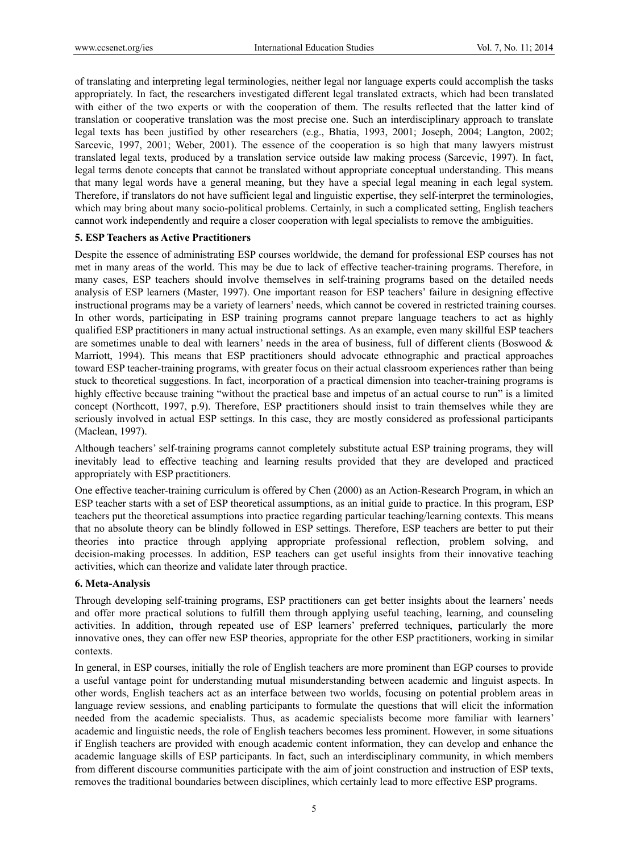of translating and interpreting legal terminologies, neither legal nor language experts could accomplish the tasks appropriately. In fact, the researchers investigated different legal translated extracts, which had been translated with either of the two experts or with the cooperation of them. The results reflected that the latter kind of translation or cooperative translation was the most precise one. Such an interdisciplinary approach to translate legal texts has been justified by other researchers (e.g., Bhatia, 1993, 2001; Joseph, 2004; Langton, 2002; Sarcevic, 1997, 2001; Weber, 2001). The essence of the cooperation is so high that many lawyers mistrust translated legal texts, produced by a translation service outside law making process (Sarcevic, 1997). In fact, legal terms denote concepts that cannot be translated without appropriate conceptual understanding. This means that many legal words have a general meaning, but they have a special legal meaning in each legal system. Therefore, if translators do not have sufficient legal and linguistic expertise, they self-interpret the terminologies, which may bring about many socio-political problems. Certainly, in such a complicated setting, English teachers cannot work independently and require a closer cooperation with legal specialists to remove the ambiguities.

### **5. ESP Teachers as Active Practitioners**

Despite the essence of administrating ESP courses worldwide, the demand for professional ESP courses has not met in many areas of the world. This may be due to lack of effective teacher-training programs. Therefore, in many cases, ESP teachers should involve themselves in self-training programs based on the detailed needs analysis of ESP learners (Master, 1997). One important reason for ESP teachers' failure in designing effective instructional programs may be a variety of learners' needs, which cannot be covered in restricted training courses. In other words, participating in ESP training programs cannot prepare language teachers to act as highly qualified ESP practitioners in many actual instructional settings. As an example, even many skillful ESP teachers are sometimes unable to deal with learners' needs in the area of business, full of different clients (Boswood & Marriott, 1994). This means that ESP practitioners should advocate ethnographic and practical approaches toward ESP teacher-training programs, with greater focus on their actual classroom experiences rather than being stuck to theoretical suggestions. In fact, incorporation of a practical dimension into teacher-training programs is highly effective because training "without the practical base and impetus of an actual course to run" is a limited concept (Northcott, 1997, p.9). Therefore, ESP practitioners should insist to train themselves while they are seriously involved in actual ESP settings. In this case, they are mostly considered as professional participants (Maclean, 1997).

Although teachers' self-training programs cannot completely substitute actual ESP training programs, they will inevitably lead to effective teaching and learning results provided that they are developed and practiced appropriately with ESP practitioners.

One effective teacher-training curriculum is offered by Chen (2000) as an Action-Research Program, in which an ESP teacher starts with a set of ESP theoretical assumptions, as an initial guide to practice. In this program, ESP teachers put the theoretical assumptions into practice regarding particular teaching/learning contexts. This means that no absolute theory can be blindly followed in ESP settings. Therefore, ESP teachers are better to put their theories into practice through applying appropriate professional reflection, problem solving, and decision-making processes. In addition, ESP teachers can get useful insights from their innovative teaching activities, which can theorize and validate later through practice.

### **6. Meta-Analysis**

Through developing self-training programs, ESP practitioners can get better insights about the learners' needs and offer more practical solutions to fulfill them through applying useful teaching, learning, and counseling activities. In addition, through repeated use of ESP learners' preferred techniques, particularly the more innovative ones, they can offer new ESP theories, appropriate for the other ESP practitioners, working in similar contexts.

In general, in ESP courses, initially the role of English teachers are more prominent than EGP courses to provide a useful vantage point for understanding mutual misunderstanding between academic and linguist aspects. In other words, English teachers act as an interface between two worlds, focusing on potential problem areas in language review sessions, and enabling participants to formulate the questions that will elicit the information needed from the academic specialists. Thus, as academic specialists become more familiar with learners' academic and linguistic needs, the role of English teachers becomes less prominent. However, in some situations if English teachers are provided with enough academic content information, they can develop and enhance the academic language skills of ESP participants. In fact, such an interdisciplinary community, in which members from different discourse communities participate with the aim of joint construction and instruction of ESP texts, removes the traditional boundaries between disciplines, which certainly lead to more effective ESP programs.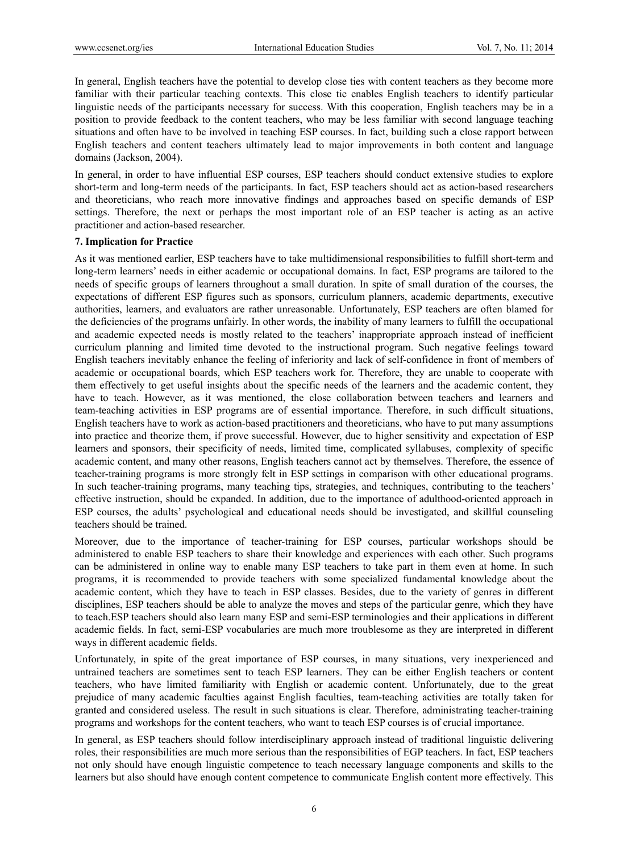In general, English teachers have the potential to develop close ties with content teachers as they become more familiar with their particular teaching contexts. This close tie enables English teachers to identify particular linguistic needs of the participants necessary for success. With this cooperation, English teachers may be in a position to provide feedback to the content teachers, who may be less familiar with second language teaching situations and often have to be involved in teaching ESP courses. In fact, building such a close rapport between English teachers and content teachers ultimately lead to major improvements in both content and language domains (Jackson, 2004).

In general, in order to have influential ESP courses, ESP teachers should conduct extensive studies to explore short-term and long-term needs of the participants. In fact, ESP teachers should act as action-based researchers and theoreticians, who reach more innovative findings and approaches based on specific demands of ESP settings. Therefore, the next or perhaps the most important role of an ESP teacher is acting as an active practitioner and action-based researcher.

### **7. Implication for Practice**

As it was mentioned earlier, ESP teachers have to take multidimensional responsibilities to fulfill short-term and long-term learners' needs in either academic or occupational domains. In fact, ESP programs are tailored to the needs of specific groups of learners throughout a small duration. In spite of small duration of the courses, the expectations of different ESP figures such as sponsors, curriculum planners, academic departments, executive authorities, learners, and evaluators are rather unreasonable. Unfortunately, ESP teachers are often blamed for the deficiencies of the programs unfairly. In other words, the inability of many learners to fulfill the occupational and academic expected needs is mostly related to the teachers' inappropriate approach instead of inefficient curriculum planning and limited time devoted to the instructional program. Such negative feelings toward English teachers inevitably enhance the feeling of inferiority and lack of self-confidence in front of members of academic or occupational boards, which ESP teachers work for. Therefore, they are unable to cooperate with them effectively to get useful insights about the specific needs of the learners and the academic content, they have to teach. However, as it was mentioned, the close collaboration between teachers and learners and team-teaching activities in ESP programs are of essential importance. Therefore, in such difficult situations, English teachers have to work as action-based practitioners and theoreticians, who have to put many assumptions into practice and theorize them, if prove successful. However, due to higher sensitivity and expectation of ESP learners and sponsors, their specificity of needs, limited time, complicated syllabuses, complexity of specific academic content, and many other reasons, English teachers cannot act by themselves. Therefore, the essence of teacher-training programs is more strongly felt in ESP settings in comparison with other educational programs. In such teacher-training programs, many teaching tips, strategies, and techniques, contributing to the teachers' effective instruction, should be expanded. In addition, due to the importance of adulthood-oriented approach in ESP courses, the adults' psychological and educational needs should be investigated, and skillful counseling teachers should be trained.

Moreover, due to the importance of teacher-training for ESP courses, particular workshops should be administered to enable ESP teachers to share their knowledge and experiences with each other. Such programs can be administered in online way to enable many ESP teachers to take part in them even at home. In such programs, it is recommended to provide teachers with some specialized fundamental knowledge about the academic content, which they have to teach in ESP classes. Besides, due to the variety of genres in different disciplines, ESP teachers should be able to analyze the moves and steps of the particular genre, which they have to teach.ESP teachers should also learn many ESP and semi-ESP terminologies and their applications in different academic fields. In fact, semi-ESP vocabularies are much more troublesome as they are interpreted in different ways in different academic fields.

Unfortunately, in spite of the great importance of ESP courses, in many situations, very inexperienced and untrained teachers are sometimes sent to teach ESP learners. They can be either English teachers or content teachers, who have limited familiarity with English or academic content. Unfortunately, due to the great prejudice of many academic faculties against English faculties, team-teaching activities are totally taken for granted and considered useless. The result in such situations is clear. Therefore, administrating teacher-training programs and workshops for the content teachers, who want to teach ESP courses is of crucial importance.

In general, as ESP teachers should follow interdisciplinary approach instead of traditional linguistic delivering roles, their responsibilities are much more serious than the responsibilities of EGP teachers. In fact, ESP teachers not only should have enough linguistic competence to teach necessary language components and skills to the learners but also should have enough content competence to communicate English content more effectively. This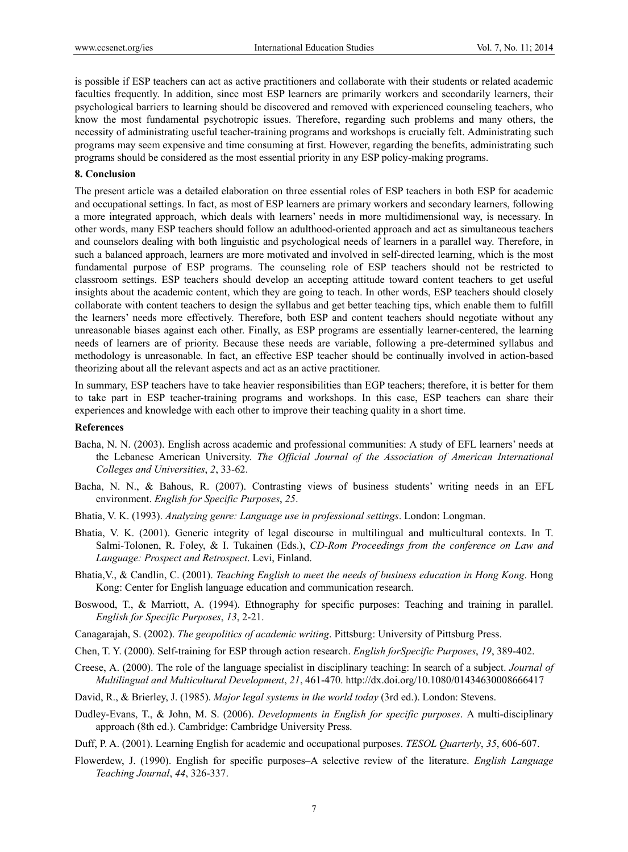is possible if ESP teachers can act as active practitioners and collaborate with their students or related academic faculties frequently. In addition, since most ESP learners are primarily workers and secondarily learners, their psychological barriers to learning should be discovered and removed with experienced counseling teachers, who know the most fundamental psychotropic issues. Therefore, regarding such problems and many others, the necessity of administrating useful teacher-training programs and workshops is crucially felt. Administrating such programs may seem expensive and time consuming at first. However, regarding the benefits, administrating such programs should be considered as the most essential priority in any ESP policy-making programs.

#### **8. Conclusion**

The present article was a detailed elaboration on three essential roles of ESP teachers in both ESP for academic and occupational settings. In fact, as most of ESP learners are primary workers and secondary learners, following a more integrated approach, which deals with learners' needs in more multidimensional way, is necessary. In other words, many ESP teachers should follow an adulthood-oriented approach and act as simultaneous teachers and counselors dealing with both linguistic and psychological needs of learners in a parallel way. Therefore, in such a balanced approach, learners are more motivated and involved in self-directed learning, which is the most fundamental purpose of ESP programs. The counseling role of ESP teachers should not be restricted to classroom settings. ESP teachers should develop an accepting attitude toward content teachers to get useful insights about the academic content, which they are going to teach. In other words, ESP teachers should closely collaborate with content teachers to design the syllabus and get better teaching tips, which enable them to fulfill the learners' needs more effectively. Therefore, both ESP and content teachers should negotiate without any unreasonable biases against each other. Finally, as ESP programs are essentially learner-centered, the learning needs of learners are of priority. Because these needs are variable, following a pre-determined syllabus and methodology is unreasonable. In fact, an effective ESP teacher should be continually involved in action-based theorizing about all the relevant aspects and act as an active practitioner.

In summary, ESP teachers have to take heavier responsibilities than EGP teachers; therefore, it is better for them to take part in ESP teacher-training programs and workshops. In this case, ESP teachers can share their experiences and knowledge with each other to improve their teaching quality in a short time.

#### **References**

- Bacha, N. N. (2003). English across academic and professional communities: A study of EFL learners' needs at the Lebanese American University. *The Official Journal of the Association of American International Colleges and Universities*, *2*, 33-62.
- Bacha, N. N., & Bahous, R. (2007). Contrasting views of business students' writing needs in an EFL environment. *English for Specific Purposes*, *25*.
- Bhatia, V. K. (1993). *Analyzing genre: Language use in professional settings*. London: Longman.
- Bhatia, V. K. (2001). Generic integrity of legal discourse in multilingual and multicultural contexts. In T. Salmi-Tolonen, R. Foley, & I. Tukainen (Eds.), *CD-Rom Proceedings from the conference on Law and Language: Prospect and Retrospect*. Levi, Finland.
- Bhatia,V., & Candlin, C. (2001). *Teaching English to meet the needs of business education in Hong Kong*. Hong Kong: Center for English language education and communication research.
- Boswood, T., & Marriott, A. (1994). Ethnography for specific purposes: Teaching and training in parallel. *English for Specific Purposes*, *13*, 2-21.
- Canagarajah, S. (2002). *The geopolitics of academic writing*. Pittsburg: University of Pittsburg Press.
- Chen, T. Y. (2000). Self-training for ESP through action research. *English forSpecific Purposes*, *19*, 389-402.
- Creese, A. (2000). The role of the language specialist in disciplinary teaching: In search of a subject. *Journal of Multilingual and Multicultural Development*, *21*, 461-470. http://dx.doi.org/10.1080/01434630008666417
- David, R., & Brierley, J. (1985). *Major legal systems in the world today* (3rd ed.). London: Stevens.
- Dudley-Evans, T., & John, M. S. (2006). *Developments in English for specific purposes*. A multi-disciplinary approach (8th ed.). Cambridge: Cambridge University Press.
- Duff, P. A. (2001). Learning English for academic and occupational purposes. *TESOL Quarterly*, *35*, 606-607.
- Flowerdew, J. (1990). English for specific purposes–A selective review of the literature. *English Language Teaching Journal*, *44*, 326-337.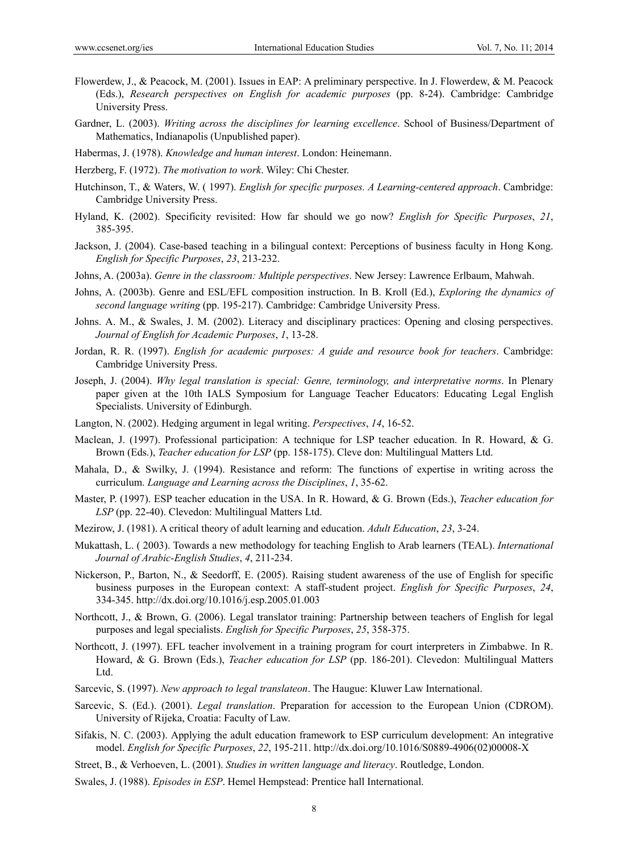- Flowerdew, J., & Peacock, M. (2001). Issues in EAP: A preliminary perspective. In J. Flowerdew, & M. Peacock (Eds.), *Research perspectives on English for academic purposes* (pp. 8-24). Cambridge: Cambridge University Press.
- Gardner, L. (2003). *Writing across the disciplines for learning excellence*. School of Business/Department of Mathematics, Indianapolis (Unpublished paper).
- Habermas, J. (1978). *Knowledge and human interest*. London: Heinemann.
- Herzberg, F. (1972). *The motivation to work*. Wiley: Chi Chester.
- Hutchinson, T., & Waters, W. ( 1997). *English for specific purposes. A Learning-centered approach*. Cambridge: Cambridge University Press.
- Hyland, K. (2002). Specificity revisited: How far should we go now? *English for Specific Purposes*, *21*, 385-395.
- Jackson, J. (2004). Case-based teaching in a bilingual context: Perceptions of business faculty in Hong Kong. *English for Specific Purposes*, *23*, 213-232.
- Johns, A. (2003a). *Genre in the classroom: Multiple perspectives*. New Jersey: Lawrence Erlbaum, Mahwah.
- Johns, A. (2003b). Genre and ESL/EFL composition instruction. In B. Kroll (Ed.), *Exploring the dynamics of second language writing* (pp. 195-217). Cambridge: Cambridge University Press.
- Johns. A. M., & Swales, J. M. (2002). Literacy and disciplinary practices: Opening and closing perspectives. *Journal of English for Academic Purposes*, *1*, 13-28.
- Jordan, R. R. (1997). *English for academic purposes: A guide and resource book for teachers*. Cambridge: Cambridge University Press.
- Joseph, J. (2004). *Why legal translation is special: Genre, terminology, and interpretative norms*. In Plenary paper given at the 10th IALS Symposium for Language Teacher Educators: Educating Legal English Specialists. University of Edinburgh.
- Langton, N. (2002). Hedging argument in legal writing. *Perspectives*, *14*, 16-52.
- Maclean, J. (1997). Professional participation: A technique for LSP teacher education. In R. Howard, & G. Brown (Eds.), *Teacher education for LSP* (pp. 158-175). Cleve don: Multilingual Matters Ltd.
- Mahala, D., & Swilky, J. (1994). Resistance and reform: The functions of expertise in writing across the curriculum. *Language and Learning across the Disciplines*, *1*, 35-62.
- Master, P. (1997). ESP teacher education in the USA. In R. Howard, & G. Brown (Eds.), *Teacher education for LSP* (pp. 22-40). Clevedon: Multilingual Matters Ltd.
- Mezirow, J. (1981). A critical theory of adult learning and education. *Adult Education*, *23*, 3-24.
- Mukattash, L. ( 2003). Towards a new methodology for teaching English to Arab learners (TEAL). *International Journal of Arabic-English Studies*, *4*, 211-234.
- Nickerson, P., Barton, N., & Seedorff, E. (2005). Raising student awareness of the use of English for specific business purposes in the European context: A staff-student project. *English for Specific Purposes*, *24*, 334-345. http://dx.doi.org/10.1016/j.esp.2005.01.003
- Northcott, J., & Brown, G. (2006). Legal translator training: Partnership between teachers of English for legal purposes and legal specialists. *English for Specific Purposes*, *25*, 358-375.
- Northcott, J. (1997). EFL teacher involvement in a training program for court interpreters in Zimbabwe. In R. Howard, & G. Brown (Eds.), *Teacher education for LSP* (pp. 186-201). Clevedon: Multilingual Matters Ltd.
- Sarcevic, S. (1997). *New approach to legal translateon*. The Haugue: Kluwer Law International.
- Sarcevic, S. (Ed.). (2001). *Legal translation*. Preparation for accession to the European Union (CDROM). University of Rijeka, Croatia: Faculty of Law.
- Sifakis, N. C. (2003). Applying the adult education framework to ESP curriculum development: An integrative model. *English for Specific Purposes*, *22*, 195-211. http://dx.doi.org/10.1016/S0889-4906(02)00008-X
- Street, B., & Verhoeven, L. (2001). *Studies in written language and literacy*. Routledge, London.
- Swales, J. (1988). *Episodes in ESP*. Hemel Hempstead: Prentice hall International.